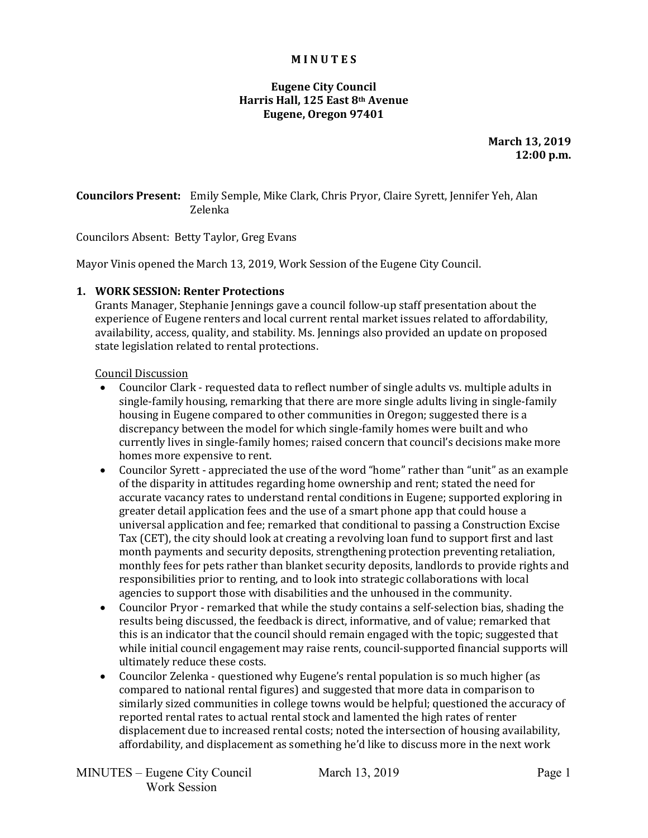#### **M I N U T E S**

## **Eugene City Council Harris Hall, 125 East 8th Avenue Eugene, Oregon 97401**

**March 13, 2019 12:00 p.m.**

**Councilors Present:** Emily Semple, Mike Clark, Chris Pryor, Claire Syrett, Jennifer Yeh, Alan Zelenka

Councilors Absent: Betty Taylor, Greg Evans

Mayor Vinis opened the March 13, 2019, Work Session of the Eugene City Council.

### **1. WORK SESSION: Renter Protections**

Grants Manager, Stephanie Jennings gave a council follow-up staff presentation about the experience of Eugene renters and local current rental market issues related to affordability, availability, access, quality, and stability. Ms. Jennings also provided an update on proposed state legislation related to rental protections.

#### Council Discussion

- Councilor Clark requested data to reflect number of single adults vs. multiple adults in single-family housing, remarking that there are more single adults living in single-family housing in Eugene compared to other communities in Oregon; suggested there is a discrepancy between the model for which single-family homes were built and who currently lives in single-family homes; raised concern that council's decisions make more homes more expensive to rent.
- Councilor Syrett appreciated the use of the word "home" rather than "unit" as an example of the disparity in attitudes regarding home ownership and rent; stated the need for accurate vacancy rates to understand rental conditions in Eugene; supported exploring in greater detail application fees and the use of a smart phone app that could house a universal application and fee; remarked that conditional to passing a Construction Excise Tax (CET), the city should look at creating a revolving loan fund to support first and last month payments and security deposits, strengthening protection preventing retaliation, monthly fees for pets rather than blanket security deposits, landlords to provide rights and responsibilities prior to renting, and to look into strategic collaborations with local agencies to support those with disabilities and the unhoused in the community.
- Councilor Pryor remarked that while the study contains a self-selection bias, shading the results being discussed, the feedback is direct, informative, and of value; remarked that this is an indicator that the council should remain engaged with the topic; suggested that while initial council engagement may raise rents, council-supported financial supports will ultimately reduce these costs.
- Councilor Zelenka questioned why Eugene's rental population is so much higher (as compared to national rental figures) and suggested that more data in comparison to similarly sized communities in college towns would be helpful; questioned the accuracy of reported rental rates to actual rental stock and lamented the high rates of renter displacement due to increased rental costs; noted the intersection of housing availability, affordability, and displacement as something he'd like to discuss more in the next work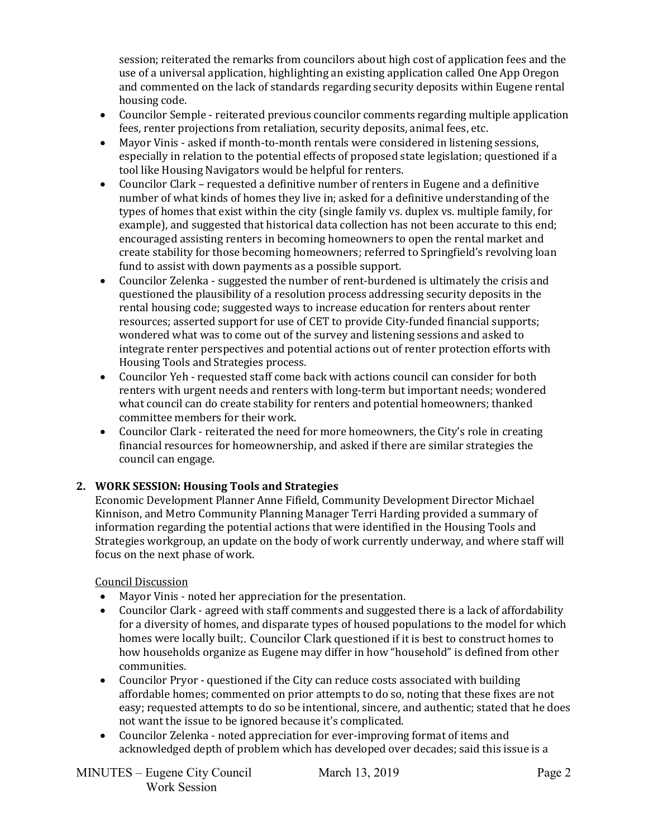session; reiterated the remarks from councilors about high cost of application fees and the use of a universal application, highlighting an existing application called One App Oregon and commented on the lack of standards regarding security deposits within Eugene rental housing code.

- Councilor Semple reiterated previous councilor comments regarding multiple application fees, renter projections from retaliation, security deposits, animal fees, etc.
- Mayor Vinis asked if month-to-month rentals were considered in listening sessions, especially in relation to the potential effects of proposed state legislation; questioned if a tool like Housing Navigators would be helpful for renters.
- Councilor Clark requested a definitive number of renters in Eugene and a definitive number of what kinds of homes they live in; asked for a definitive understanding of the types of homes that exist within the city (single family vs. duplex vs. multiple family, for example), and suggested that historical data collection has not been accurate to this end; encouraged assisting renters in becoming homeowners to open the rental market and create stability for those becoming homeowners; referred to Springfield's revolving loan fund to assist with down payments as a possible support.
- Councilor Zelenka suggested the number of rent-burdened is ultimately the crisis and questioned the plausibility of a resolution process addressing security deposits in the rental housing code; suggested ways to increase education for renters about renter resources; asserted support for use of CET to provide City-funded financial supports; wondered what was to come out of the survey and listening sessions and asked to integrate renter perspectives and potential actions out of renter protection efforts with Housing Tools and Strategies process.
- Councilor Yeh requested staff come back with actions council can consider for both renters with urgent needs and renters with long-term but important needs; wondered what council can do create stability for renters and potential homeowners; thanked committee members for their work.
- Councilor Clark reiterated the need for more homeowners, the City's role in creating financial resources for homeownership, and asked if there are similar strategies the council can engage.

# **2. WORK SESSION: Housing Tools and Strategies**

Economic Development Planner Anne Fifield, Community Development Director Michael Kinnison, and Metro Community Planning Manager Terri Harding provided a summary of information regarding the potential actions that were identified in the Housing Tools and Strategies workgroup, an update on the body of work currently underway, and where staff will focus on the next phase of work.

## Council Discussion

- Mayor Vinis noted her appreciation for the presentation.<br>• Councilor Clark agreed with staff comments and suggeste
- Councilor Clark agreed with staff comments and suggested there is a lack of affordability for a diversity of homes, and disparate types of housed populations to the model for which homes were locally built;. Councilor Clark questioned if it is best to construct homes to how households organize as Eugene may differ in how "household" is defined from other communities.
- Councilor Pryor questioned if the City can reduce costs associated with building affordable homes; commented on prior attempts to do so, noting that these fixes are not easy; requested attempts to do so be intentional, sincere, and authentic; stated that he does not want the issue to be ignored because it's complicated.
- Councilor Zelenka noted appreciation for ever-improving format of items and acknowledged depth of problem which has developed over decades; said this issue is a